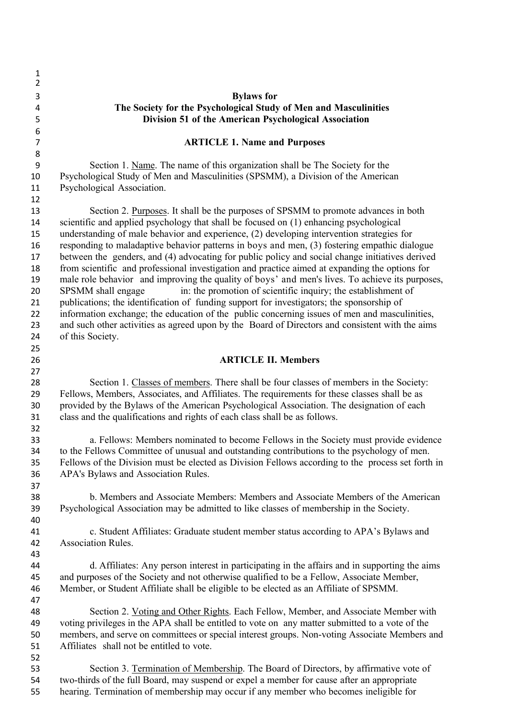| 1                   |                                                                                                                                                                                           |
|---------------------|-------------------------------------------------------------------------------------------------------------------------------------------------------------------------------------------|
| $\overline{2}$      |                                                                                                                                                                                           |
| 3                   | <b>Bylaws</b> for                                                                                                                                                                         |
| 4                   | The Society for the Psychological Study of Men and Masculinities                                                                                                                          |
| 5                   | Division 51 of the American Psychological Association                                                                                                                                     |
| 6<br>$\overline{7}$ | <b>ARTICLE 1. Name and Purposes</b>                                                                                                                                                       |
| 8                   |                                                                                                                                                                                           |
| 9                   | Section 1. Name. The name of this organization shall be The Society for the                                                                                                               |
| 10                  | Psychological Study of Men and Masculinities (SPSMM), a Division of the American                                                                                                          |
| 11                  | Psychological Association.                                                                                                                                                                |
| 12                  |                                                                                                                                                                                           |
| 13                  | Section 2. Purposes. It shall be the purposes of SPSMM to promote advances in both                                                                                                        |
| 14                  | scientific and applied psychology that shall be focused on (1) enhancing psychological                                                                                                    |
| 15                  | understanding of male behavior and experience, (2) developing intervention strategies for                                                                                                 |
| 16                  | responding to maladaptive behavior patterns in boys and men, (3) fostering empathic dialogue                                                                                              |
| 17                  | between the genders, and (4) advocating for public policy and social change initiatives derived                                                                                           |
| 18                  | from scientific and professional investigation and practice aimed at expanding the options for                                                                                            |
| 19                  | male role behavior and improving the quality of boys' and men's lives. To achieve its purposes,                                                                                           |
| 20                  | in: the promotion of scientific inquiry; the establishment of<br>SPSMM shall engage                                                                                                       |
| 21                  | publications; the identification of funding support for investigators; the sponsorship of                                                                                                 |
| 22                  | information exchange; the education of the public concerning issues of men and masculinities,                                                                                             |
| 23                  | and such other activities as agreed upon by the Board of Directors and consistent with the aims                                                                                           |
| 24                  | of this Society.                                                                                                                                                                          |
| 25                  |                                                                                                                                                                                           |
| 26                  | <b>ARTICLE II. Members</b>                                                                                                                                                                |
| 27                  |                                                                                                                                                                                           |
| 28                  | Section 1. Classes of members. There shall be four classes of members in the Society:                                                                                                     |
| 29                  | Fellows, Members, Associates, and Affiliates. The requirements for these classes shall be as<br>provided by the Bylaws of the American Psychological Association. The designation of each |
| 30<br>31            | class and the qualifications and rights of each class shall be as follows.                                                                                                                |
| 32                  |                                                                                                                                                                                           |
| 33                  | a. Fellows: Members nominated to become Fellows in the Society must provide evidence                                                                                                      |
| 34                  | to the Fellows Committee of unusual and outstanding contributions to the psychology of men.                                                                                               |
| 35                  | Fellows of the Division must be elected as Division Fellows according to the process set forth in                                                                                         |
| 36                  | APA's Bylaws and Association Rules.                                                                                                                                                       |
| 37                  |                                                                                                                                                                                           |
| 38                  | b. Members and Associate Members: Members and Associate Members of the American                                                                                                           |
| 39                  | Psychological Association may be admitted to like classes of membership in the Society.                                                                                                   |
| 40                  |                                                                                                                                                                                           |
| 41                  | c. Student Affiliates: Graduate student member status according to APA's Bylaws and                                                                                                       |
| 42                  | Association Rules.                                                                                                                                                                        |
| 43                  |                                                                                                                                                                                           |
| 44                  | d. Affiliates: Any person interest in participating in the affairs and in supporting the aims                                                                                             |
| 45                  | and purposes of the Society and not otherwise qualified to be a Fellow, Associate Member,                                                                                                 |
| 46                  | Member, or Student Affiliate shall be eligible to be elected as an Affiliate of SPSMM.                                                                                                    |
| 47                  |                                                                                                                                                                                           |
| 48                  | Section 2. Voting and Other Rights. Each Fellow, Member, and Associate Member with                                                                                                        |
| 49                  | voting privileges in the APA shall be entitled to vote on any matter submitted to a vote of the                                                                                           |
| 50                  | members, and serve on committees or special interest groups. Non-voting Associate Members and                                                                                             |
| 51                  | Affiliates shall not be entitled to vote.                                                                                                                                                 |
| 52                  |                                                                                                                                                                                           |
| 53                  | Section 3. Termination of Membership. The Board of Directors, by affirmative vote of                                                                                                      |
| 54                  | two-thirds of the full Board, may suspend or expel a member for cause after an appropriate                                                                                                |

hearing. Termination of membership may occur if any member who becomes ineligible for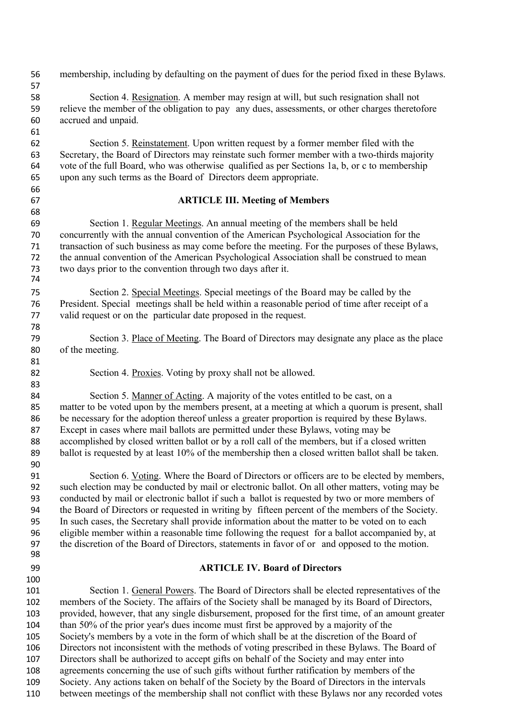membership, including by defaulting on the payment of dues for the period fixed in these Bylaws. Section 4. Resignation. A member may resign at will, but such resignation shall not relieve the member of the obligation to pay any dues, assessments, or other charges theretofore accrued and unpaid. Section 5. Reinstatement. Upon written request by a former member filed with the Secretary, the Board of Directors may reinstate such former member with a two-thirds majority vote of the full Board, who was otherwise qualified as per Sections 1a, b, or c to membership upon any such terms as the Board of Directors deem appropriate. **ARTICLE III. Meeting of Members** Section 1. Regular Meetings. An annual meeting of the members shall be held concurrently with the annual convention of the American Psychological Association for the transaction of such business as may come before the meeting. For the purposes of these Bylaws, the annual convention of the American Psychological Association shall be construed to mean two days prior to the convention through two days after it. Section 2. Special Meetings. Special meetings of the Board may be called by the President. Special meetings shall be held within a reasonable period of time after receipt of a valid request or on the particular date proposed in the request. Section 3. Place of Meeting. The Board of Directors may designate any place as the place of the meeting. Section 4. Proxies. Voting by proxy shall not be allowed. Section 5. Manner of Acting. A majority of the votes entitled to be cast, on a matter to be voted upon by the members present, at a meeting at which a quorum is present, shall 86 be necessary for the adoption thereof unless a greater proportion is required by these Bylaws. Except in cases where mail ballots are permitted under these Bylaws, voting may be accomplished by closed written ballot or by a roll call of the members, but if a closed written 89 ballot is requested by at least 10% of the membership then a closed written ballot shall be taken. Section 6. Voting. Where the Board of Directors or officers are to be elected by members, such election may be conducted by mail or electronic ballot. On all other matters, voting may be conducted by mail or electronic ballot if such a ballot is requested by two or more members of the Board of Directors or requested in writing by fifteen percent of the members of the Society. In such cases, the Secretary shall provide information about the matter to be voted on to each eligible member within a reasonable time following the request for a ballot accompanied by, at the discretion of the Board of Directors, statements in favor of or and opposed to the motion. **ARTICLE IV. Board of Directors** Section 1. General Powers. The Board of Directors shall be elected representatives of the members of the Society. The affairs of the Society shall be managed by its Board of Directors, provided, however, that any single disbursement, proposed for the first time, of an amount greater than 50% of the prior year's dues income must first be approved by a majority of the Society's members by a vote in the form of which shall be at the discretion of the Board of Directors not inconsistent with the methods of voting prescribed in these Bylaws. The Board of Directors shall be authorized to accept gifts on behalf of the Society and may enter into agreements concerning the use of such gifts without further ratification by members of the Society. Any actions taken on behalf of the Society by the Board of Directors in the intervals between meetings of the membership shall not conflict with these Bylaws nor any recorded votes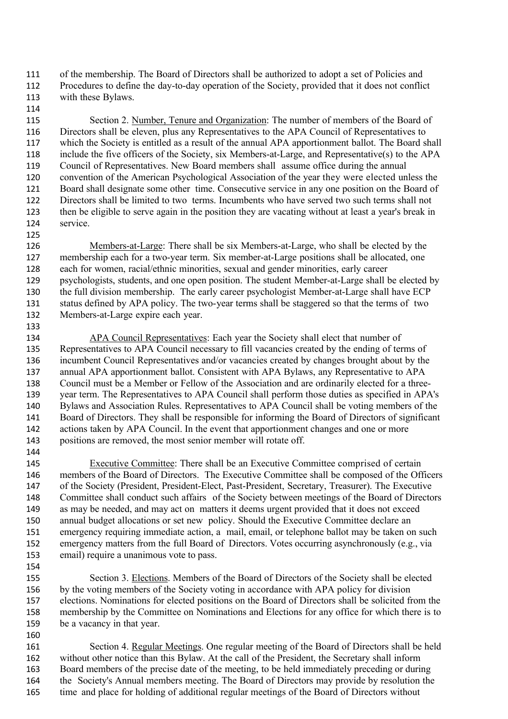of the membership. The Board of Directors shall be authorized to adopt a set of Policies and Procedures to define the day-to-day operation of the Society, provided that it does not conflict with these Bylaws.

 Section 2. Number, Tenure and Organization: The number of members of the Board of Directors shall be eleven, plus any Representatives to the APA Council of Representatives to which the Society is entitled as a result of the annual APA apportionment ballot. The Board shall include the five officers of the Society, six Members-at-Large, and Representative(s) to the APA Council of Representatives. New Board members shall assume office during the annual convention of the American Psychological Association of the year they were elected unless the Board shall designate some other time. Consecutive service in any one position on the Board of Directors shall be limited to two terms. Incumbents who have served two such terms shall not then be eligible to serve again in the position they are vacating without at least a year's break in service.

 Members-at-Large: There shall be six Members-at-Large, who shall be elected by the membership each for a two-year term. Six member-at-Large positions shall be allocated, one each for women, racial/ethnic minorities, sexual and gender minorities, early career psychologists, students, and one open position. The student Member-at-Large shall be elected by the full division membership. The early career psychologist Member-at-Large shall have ECP status defined by APA policy. The two-year terms shall be staggered so that the terms of two Members-at-Large expire each year.

 APA Council Representatives: Each year the Society shall elect that number of Representatives to APA Council necessary to fill vacancies created by the ending of terms of incumbent Council Representatives and/or vacancies created by changes brought about by the annual APA apportionment ballot. Consistent with APA Bylaws, any Representative to APA Council must be a Member or Fellow of the Association and are ordinarily elected for a three- year term. The Representatives to APA Council shall perform those duties as specified in APA's Bylaws and Association Rules. Representatives to APA Council shall be voting members of the Board of Directors. They shall be responsible for informing the Board of Directors of significant actions taken by APA Council. In the event that apportionment changes and one or more positions are removed, the most senior member will rotate off.

 Executive Committee: There shall be an Executive Committee comprised of certain 146 members of the Board of Directors. The Executive Committee shall be composed of the Officers of the Society (President, President-Elect, Past-President, Secretary, Treasurer). The Executive Committee shall conduct such affairs of the Society between meetings of the Board of Directors as may be needed, and may act on matters it deems urgent provided that it does not exceed annual budget allocations or set new policy. Should the Executive Committee declare an emergency requiring immediate action, a mail, email, or telephone ballot may be taken on such emergency matters from the full Board of Directors. Votes occurring asynchronously (e.g., via email) require a unanimous vote to pass. 

 Section 3. Elections. Members of the Board of Directors of the Society shall be elected by the voting members of the Society voting in accordance with APA policy for division elections. Nominations for elected positions on the Board of Directors shall be solicited from the membership by the Committee on Nominations and Elections for any office for which there is to be a vacancy in that year.

 Section 4. Regular Meetings. One regular meeting of the Board of Directors shall be held without other notice than this Bylaw. At the call of the President, the Secretary shall inform Board members of the precise date of the meeting, to be held immediately preceding or during 164 the Society's Annual members meeting. The Board of Directors may provide by resolution the time and place for holding of additional regular meetings of the Board of Directors without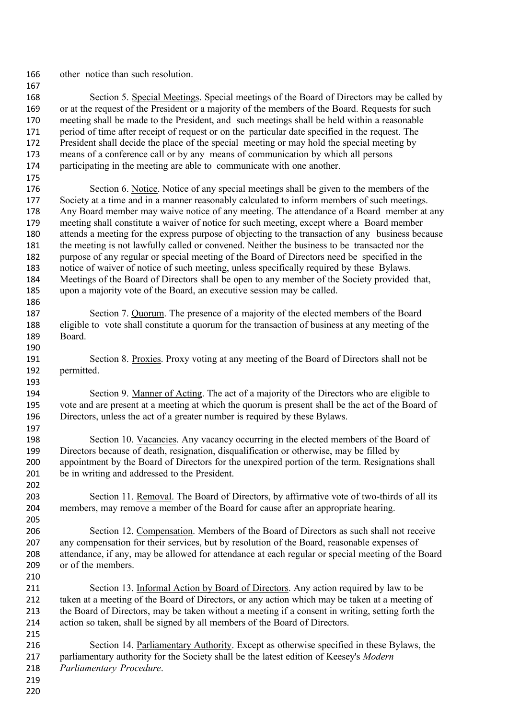other notice than such resolution.

 Section 5. Special Meetings. Special meetings of the Board of Directors may be called by or at the request of the President or a majority of the members of the Board. Requests for such meeting shall be made to the President, and such meetings shall be held within a reasonable period of time after receipt of request or on the particular date specified in the request. The 172 President shall decide the place of the special meeting or may hold the special meeting by means of a conference call or by any means of communication by which all persons participating in the meeting are able to communicate with one another.

 Section 6. Notice. Notice of any special meetings shall be given to the members of the Society at a time and in a manner reasonably calculated to inform members of such meetings. Any Board member may waive notice of any meeting. The attendance of a Board member at any meeting shall constitute a waiver of notice for such meeting, except where a Board member attends a meeting for the express purpose of objecting to the transaction of any business because the meeting is not lawfully called or convened. Neither the business to be transacted nor the purpose of any regular or special meeting of the Board of Directors need be specified in the notice of waiver of notice of such meeting, unless specifically required by these Bylaws. Meetings of the Board of Directors shall be open to any member of the Society provided that, upon a majority vote of the Board, an executive session may be called.

- Section 7. Quorum. The presence of a majority of the elected members of the Board eligible to vote shall constitute a quorum for the transaction of business at any meeting of the Board.
- 191 Section 8. Proxies. Proxy voting at any meeting of the Board of Directors shall not be permitted.

 Section 9. Manner of Acting. The act of a majority of the Directors who are eligible to vote and are present at a meeting at which the quorum is present shall be the act of the Board of Directors, unless the act of a greater number is required by these Bylaws.

 Section 10. Vacancies. Any vacancy occurring in the elected members of the Board of 199 Directors because of death, resignation, disqualification or otherwise, may be filled by appointment by the Board of Directors for the unexpired portion of the term. Resignations shall be in writing and addressed to the President.

 Section 11. Removal. The Board of Directors, by affirmative vote of two-thirds of all its members, may remove a member of the Board for cause after an appropriate hearing.

206 Section 12. Compensation. Members of the Board of Directors as such shall not receive any compensation for their services, but by resolution of the Board, reasonable expenses of attendance, if any, may be allowed for attendance at each regular or special meeting of the Board or of the members. 

 Section 13. Informal Action by Board of Directors. Any action required by law to be 212 taken at a meeting of the Board of Directors, or any action which may be taken at a meeting of the Board of Directors, may be taken without a meeting if a consent in writing, setting forth the action so taken, shall be signed by all members of the Board of Directors.

- Section 14. Parliamentary Authority. Except as otherwise specified in these Bylaws, the parliamentary authority for the Society shall be the latest edition of Keesey's *Modern Parliamentary Procedure*.
-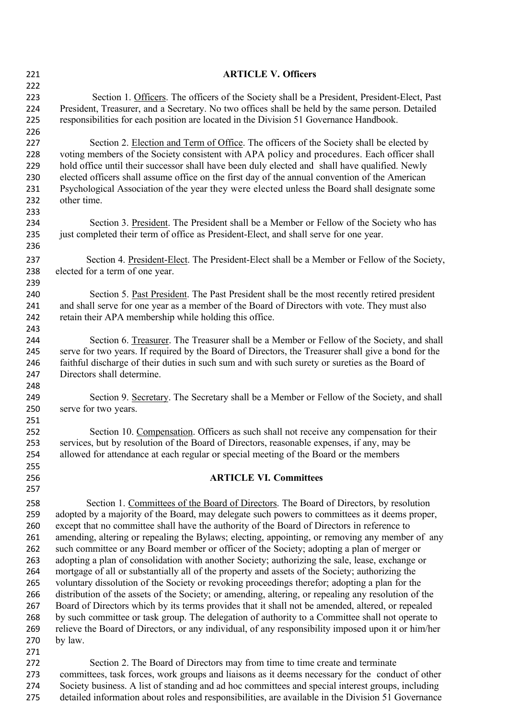| 221 | <b>ARTICLE V. Officers</b>                                                                           |
|-----|------------------------------------------------------------------------------------------------------|
| 222 |                                                                                                      |
| 223 | Section 1. Officers. The officers of the Society shall be a President, President-Elect, Past         |
| 224 | President, Treasurer, and a Secretary. No two offices shall be held by the same person. Detailed     |
| 225 | responsibilities for each position are located in the Division 51 Governance Handbook.               |
| 226 |                                                                                                      |
| 227 | Section 2. Election and Term of Office. The officers of the Society shall be elected by              |
| 228 | voting members of the Society consistent with APA policy and procedures. Each officer shall          |
| 229 | hold office until their successor shall have been duly elected and shall have qualified. Newly       |
| 230 | elected officers shall assume office on the first day of the annual convention of the American       |
| 231 | Psychological Association of the year they were elected unless the Board shall designate some        |
| 232 | other time.                                                                                          |
| 233 |                                                                                                      |
| 234 | Section 3. President. The President shall be a Member or Fellow of the Society who has               |
| 235 | just completed their term of office as President-Elect, and shall serve for one year.                |
| 236 |                                                                                                      |
| 237 | Section 4. President-Elect. The President-Elect shall be a Member or Fellow of the Society,          |
| 238 | elected for a term of one year.                                                                      |
| 239 |                                                                                                      |
| 240 | Section 5. Past President. The Past President shall be the most recently retired president           |
| 241 | and shall serve for one year as a member of the Board of Directors with vote. They must also         |
| 242 | retain their APA membership while holding this office.                                               |
| 243 |                                                                                                      |
| 244 | Section 6. Treasurer. The Treasurer shall be a Member or Fellow of the Society, and shall            |
| 245 | serve for two years. If required by the Board of Directors, the Treasurer shall give a bond for the  |
| 246 | faithful discharge of their duties in such sum and with such surety or sureties as the Board of      |
| 247 | Directors shall determine.                                                                           |
| 248 |                                                                                                      |
| 249 | Section 9. Secretary. The Secretary shall be a Member or Fellow of the Society, and shall            |
| 250 | serve for two years.                                                                                 |
| 251 |                                                                                                      |
| 252 | Section 10. Compensation. Officers as such shall not receive any compensation for their              |
| 253 | services, but by resolution of the Board of Directors, reasonable expenses, if any, may be           |
| 254 | allowed for attendance at each regular or special meeting of the Board or the members                |
| 255 |                                                                                                      |
| 256 | <b>ARTICLE VI. Committees</b>                                                                        |
| 257 |                                                                                                      |
| 258 | Section 1. Committees of the Board of Directors. The Board of Directors, by resolution               |
| 259 | adopted by a majority of the Board, may delegate such powers to committees as it deems proper,       |
| 260 | except that no committee shall have the authority of the Board of Directors in reference to          |
| 261 | amending, altering or repealing the Bylaws; electing, appointing, or removing any member of any      |
| 262 | such committee or any Board member or officer of the Society; adopting a plan of merger or           |
| 263 | adopting a plan of consolidation with another Society; authorizing the sale, lease, exchange or      |
| 264 | mortgage of all or substantially all of the property and assets of the Society; authorizing the      |
| 265 | voluntary dissolution of the Society or revoking proceedings therefor; adopting a plan for the       |
| 266 | distribution of the assets of the Society; or amending, altering, or repealing any resolution of the |
| 267 | Board of Directors which by its terms provides that it shall not be amended, altered, or repealed    |
| 268 | by such committee or task group. The delegation of authority to a Committee shall not operate to     |
| 269 | relieve the Board of Directors, or any individual, of any responsibility imposed upon it or him/her  |
| 270 | by law.                                                                                              |
| 271 |                                                                                                      |
| 272 | Section 2. The Board of Directors may from time to time create and terminate                         |
| 273 | committees, task forces, work groups and liaisons as it deems necessary for the conduct of other     |
| 274 | Society business. A list of standing and ad hoc committees and special interest groups, including    |
| 275 | detailed information about roles and responsibilities, are available in the Division 51 Governance   |